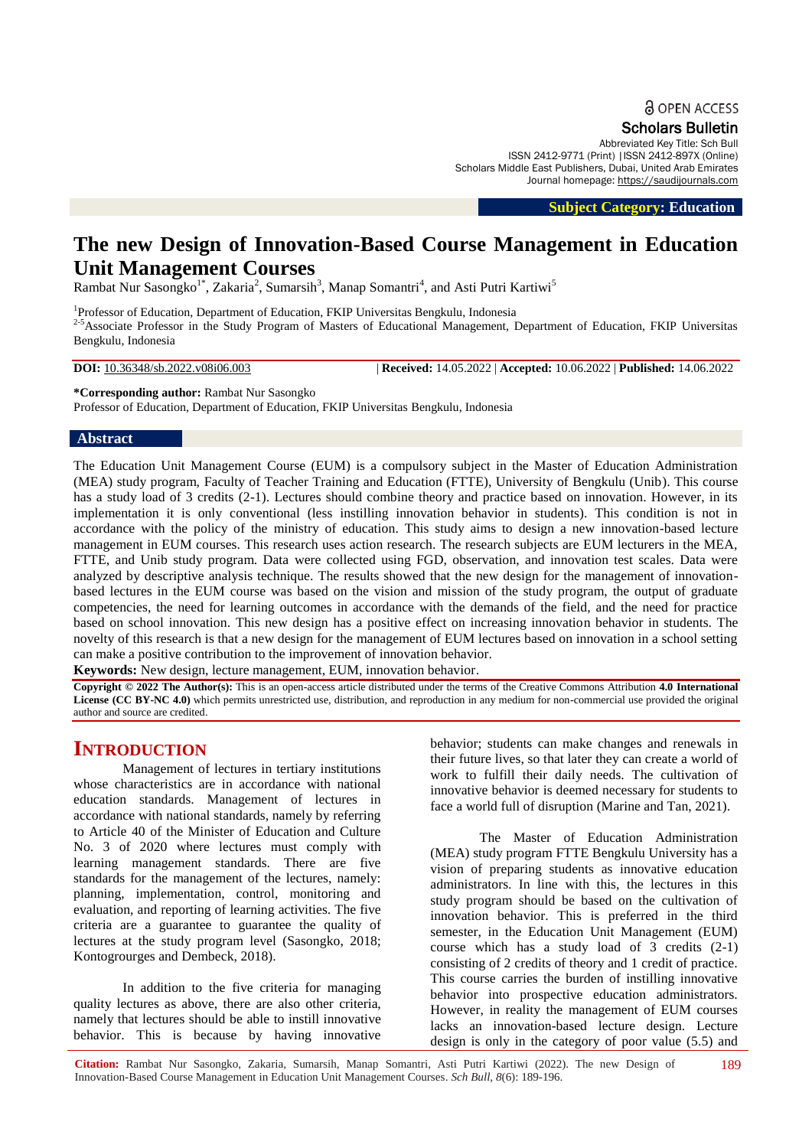**a** OPEN ACCESS

Scholars Bulletin

Abbreviated Key Title: Sch Bull ISSN 2412-9771 (Print) |ISSN 2412-897X (Online) Scholars Middle East Publishers, Dubai, United Arab Emirates Journal homepage: [https://saudijournals.com](https://saudijournals.com/sb)

 **Subject Category: Education**

# **The new Design of Innovation-Based Course Management in Education Unit Management Courses**

Rambat Nur Sasongko<sup>1\*</sup>, Zakaria<sup>2</sup>, Sumarsih<sup>3</sup>, Manap Somantri<sup>4</sup>, and Asti Putri Kartiwi<sup>5</sup>

<sup>1</sup>Professor of Education, Department of Education, FKIP Universitas Bengkulu, Indonesia <sup>2-5</sup>Associate Professor in the Study Program of Masters of Educational Management, Department of Education, FKIP Universitas Bengkulu, Indonesia

**DOI:** 10.36348/sb.2022.v08i06.003 | **Received:** 14.05.2022 | **Accepted:** 10.06.2022 | **Published:** 14.06.2022

**\*Corresponding author:** Rambat Nur Sasongko Professor of Education, Department of Education, FKIP Universitas Bengkulu, Indonesia

#### **Abstract**

The Education Unit Management Course (EUM) is a compulsory subject in the Master of Education Administration (MEA) study program, Faculty of Teacher Training and Education (FTTE), University of Bengkulu (Unib). This course has a study load of 3 credits (2-1). Lectures should combine theory and practice based on innovation. However, in its implementation it is only conventional (less instilling innovation behavior in students). This condition is not in accordance with the policy of the ministry of education. This study aims to design a new innovation-based lecture management in EUM courses. This research uses action research. The research subjects are EUM lecturers in the MEA, FTTE, and Unib study program. Data were collected using FGD, observation, and innovation test scales. Data were analyzed by descriptive analysis technique. The results showed that the new design for the management of innovationbased lectures in the EUM course was based on the vision and mission of the study program, the output of graduate competencies, the need for learning outcomes in accordance with the demands of the field, and the need for practice based on school innovation. This new design has a positive effect on increasing innovation behavior in students. The novelty of this research is that a new design for the management of EUM lectures based on innovation in a school setting can make a positive contribution to the improvement of innovation behavior.

**Keywords:** New design, lecture management, EUM, innovation behavior.

**Copyright © 2022 The Author(s):** This is an open-access article distributed under the terms of the Creative Commons Attribution **4.0 International License (CC BY-NC 4.0)** which permits unrestricted use, distribution, and reproduction in any medium for non-commercial use provided the original author and source are credited.

# **INTRODUCTION**

Management of lectures in tertiary institutions whose characteristics are in accordance with national education standards. Management of lectures in accordance with national standards, namely by referring to Article 40 of the Minister of Education and Culture No. 3 of 2020 where lectures must comply with learning management standards. There are five standards for the management of the lectures, namely: planning, implementation, control, monitoring and evaluation, and reporting of learning activities. The five criteria are a guarantee to guarantee the quality of lectures at the study program level (Sasongko, 2018; Kontogrourges and Dembeck, 2018).

In addition to the five criteria for managing quality lectures as above, there are also other criteria, namely that lectures should be able to instill innovative behavior. This is because by having innovative

behavior; students can make changes and renewals in their future lives, so that later they can create a world of work to fulfill their daily needs. The cultivation of innovative behavior is deemed necessary for students to face a world full of disruption (Marine and Tan, 2021).

The Master of Education Administration (MEA) study program FTTE Bengkulu University has a vision of preparing students as innovative education administrators. In line with this, the lectures in this study program should be based on the cultivation of innovation behavior. This is preferred in the third semester, in the Education Unit Management (EUM) course which has a study load of  $\overline{3}$  credits (2-1) consisting of 2 credits of theory and 1 credit of practice. This course carries the burden of instilling innovative behavior into prospective education administrators. However, in reality the management of EUM courses lacks an innovation-based lecture design. Lecture design is only in the category of poor value (5.5) and

189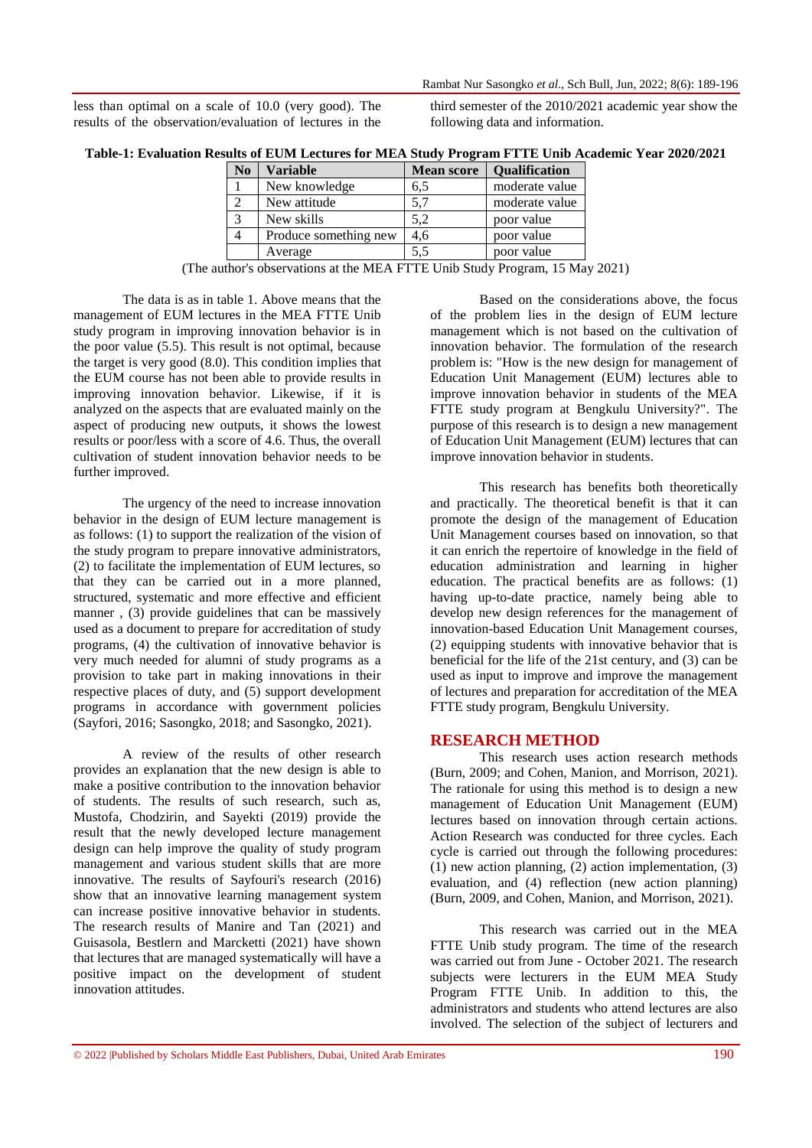less than optimal on a scale of 10.0 (very good). The results of the observation/evaluation of lectures in the

third semester of the 2010/2021 academic year show the following data and information.

| Table-1: Evaluation Results of EUM Lectures for MEA Study Program FTTE Unib Academic Year 2020/2021 |  |  |  |
|-----------------------------------------------------------------------------------------------------|--|--|--|
|                                                                                                     |  |  |  |

| N <sub>0</sub> | <b>Variable</b>       | <b>Mean score</b>    | Qualification  |
|----------------|-----------------------|----------------------|----------------|
|                | New knowledge         | 6,5                  | moderate value |
| 2              | New attitude          | 5,7                  | moderate value |
| 3              | New skills            | 5.2                  | poor value     |
|                | Produce something new | 4,6                  | poor value     |
|                | Average               | 5.5                  | poor value     |
| $\cdot$ 1      | $\cdot$ $\cdot$ 1     | 100 LEBEL 11 0 . 1 B | $ -$           |

(The author's observations at the MEA FTTE Unib Study Program, 15 May 2021)

The data is as in table 1. Above means that the management of EUM lectures in the MEA FTTE Unib study program in improving innovation behavior is in the poor value (5.5). This result is not optimal, because the target is very good (8.0). This condition implies that the EUM course has not been able to provide results in improving innovation behavior. Likewise, if it is analyzed on the aspects that are evaluated mainly on the aspect of producing new outputs, it shows the lowest results or poor/less with a score of 4.6. Thus, the overall cultivation of student innovation behavior needs to be further improved.

The urgency of the need to increase innovation behavior in the design of EUM lecture management is as follows: (1) to support the realization of the vision of the study program to prepare innovative administrators, (2) to facilitate the implementation of EUM lectures, so that they can be carried out in a more planned, structured, systematic and more effective and efficient manner, (3) provide guidelines that can be massively used as a document to prepare for accreditation of study programs, (4) the cultivation of innovative behavior is very much needed for alumni of study programs as a provision to take part in making innovations in their respective places of duty, and (5) support development programs in accordance with government policies (Sayfori, 2016; Sasongko, 2018; and Sasongko, 2021).

A review of the results of other research provides an explanation that the new design is able to make a positive contribution to the innovation behavior of students. The results of such research, such as, Mustofa, Chodzirin, and Sayekti (2019) provide the result that the newly developed lecture management design can help improve the quality of study program management and various student skills that are more innovative. The results of Sayfouri's research (2016) show that an innovative learning management system can increase positive innovative behavior in students. The research results of Manire and Tan (2021) and Guisasola, Bestlern and Marcketti (2021) have shown that lectures that are managed systematically will have a positive impact on the development of student innovation attitudes.

Based on the considerations above, the focus of the problem lies in the design of EUM lecture management which is not based on the cultivation of innovation behavior. The formulation of the research problem is: "How is the new design for management of Education Unit Management (EUM) lectures able to improve innovation behavior in students of the MEA FTTE study program at Bengkulu University?". The purpose of this research is to design a new management of Education Unit Management (EUM) lectures that can improve innovation behavior in students.

This research has benefits both theoretically and practically. The theoretical benefit is that it can promote the design of the management of Education Unit Management courses based on innovation, so that it can enrich the repertoire of knowledge in the field of education administration and learning in higher education. The practical benefits are as follows: (1) having up-to-date practice, namely being able to develop new design references for the management of innovation-based Education Unit Management courses, (2) equipping students with innovative behavior that is beneficial for the life of the 21st century, and (3) can be used as input to improve and improve the management of lectures and preparation for accreditation of the MEA FTTE study program, Bengkulu University.

## **RESEARCH METHOD**

This research uses action research methods (Burn, 2009; and Cohen, Manion, and Morrison, 2021). The rationale for using this method is to design a new management of Education Unit Management (EUM) lectures based on innovation through certain actions. Action Research was conducted for three cycles. Each cycle is carried out through the following procedures: (1) new action planning, (2) action implementation, (3) evaluation, and (4) reflection (new action planning) (Burn, 2009, and Cohen, Manion, and Morrison, 2021).

This research was carried out in the MEA FTTE Unib study program. The time of the research was carried out from June - October 2021. The research subjects were lecturers in the EUM MEA Study Program FTTE Unib. In addition to this, the administrators and students who attend lectures are also involved. The selection of the subject of lecturers and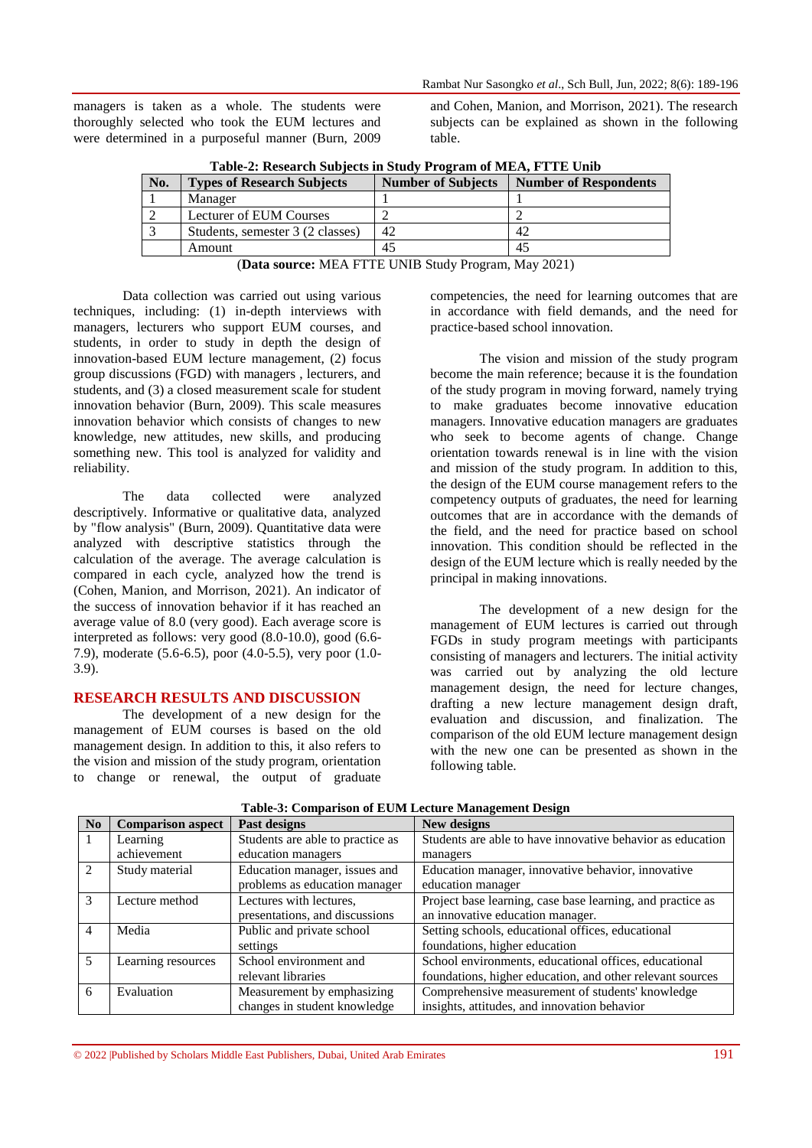managers is taken as a whole. The students were thoroughly selected who took the EUM lectures and were determined in a purposeful manner (Burn, 2009 and Cohen, Manion, and Morrison, 2021). The research subjects can be explained as shown in the following table.

|     | Table-2. Research Bubjects in Buddy Trogram of MEA, I TTE Unio |                           |                              |  |  |  |  |  |
|-----|----------------------------------------------------------------|---------------------------|------------------------------|--|--|--|--|--|
| No. | <b>Types of Research Subjects</b>                              | <b>Number of Subjects</b> | <b>Number of Respondents</b> |  |  |  |  |  |
|     | Manager                                                        |                           |                              |  |  |  |  |  |
|     | <b>Lecturer of EUM Courses</b>                                 |                           |                              |  |  |  |  |  |
|     | Students, semester 3 (2 classes)                               | 42                        | 42                           |  |  |  |  |  |
|     | Amount                                                         | 45                        | 45                           |  |  |  |  |  |

**Table-2: Research Subjects in Study Program of MEA, FTTE Unib**

(**Data source:** MEA FTTE UNIB Study Program, May 2021)

Data collection was carried out using various techniques, including: (1) in-depth interviews with managers, lecturers who support EUM courses, and students, in order to study in depth the design of innovation-based EUM lecture management, (2) focus group discussions (FGD) with managers , lecturers, and students, and (3) a closed measurement scale for student innovation behavior (Burn, 2009). This scale measures innovation behavior which consists of changes to new knowledge, new attitudes, new skills, and producing something new. This tool is analyzed for validity and reliability.

The data collected were analyzed descriptively. Informative or qualitative data, analyzed by "flow analysis" (Burn, 2009). Quantitative data were analyzed with descriptive statistics through the calculation of the average. The average calculation is compared in each cycle, analyzed how the trend is (Cohen, Manion, and Morrison, 2021). An indicator of the success of innovation behavior if it has reached an average value of 8.0 (very good). Each average score is interpreted as follows: very good (8.0-10.0), good (6.6- 7.9), moderate (5.6-6.5), poor (4.0-5.5), very poor (1.0- 3.9).

#### **RESEARCH RESULTS AND DISCUSSION**

The development of a new design for the management of EUM courses is based on the old management design. In addition to this, it also refers to the vision and mission of the study program, orientation to change or renewal, the output of graduate

competencies, the need for learning outcomes that are in accordance with field demands, and the need for practice-based school innovation.

The vision and mission of the study program become the main reference; because it is the foundation of the study program in moving forward, namely trying to make graduates become innovative education managers. Innovative education managers are graduates who seek to become agents of change. Change orientation towards renewal is in line with the vision and mission of the study program. In addition to this, the design of the EUM course management refers to the competency outputs of graduates, the need for learning outcomes that are in accordance with the demands of the field, and the need for practice based on school innovation. This condition should be reflected in the design of the EUM lecture which is really needed by the principal in making innovations.

The development of a new design for the management of EUM lectures is carried out through FGDs in study program meetings with participants consisting of managers and lecturers. The initial activity was carried out by analyzing the old lecture management design, the need for lecture changes, drafting a new lecture management design draft, evaluation and discussion, and finalization. The comparison of the old EUM lecture management design with the new one can be presented as shown in the following table.

| N <sub>0</sub> | <b>Comparison aspect</b> | Past designs                     | New designs                                                |
|----------------|--------------------------|----------------------------------|------------------------------------------------------------|
| $\mathbf{L}$   | Learning                 | Students are able to practice as | Students are able to have innovative behavior as education |
|                | achievement              | education managers               | managers                                                   |
| 2              | Study material           | Education manager, issues and    | Education manager, innovative behavior, innovative         |
|                |                          | problems as education manager    | education manager                                          |
| 3              | Lecture method           | Lectures with lectures,          | Project base learning, case base learning, and practice as |
|                |                          | presentations, and discussions   | an innovative education manager.                           |
| 4              | Media                    | Public and private school        | Setting schools, educational offices, educational          |
|                |                          | settings                         | foundations, higher education                              |
| 5.             | Learning resources       | School environment and           | School environments, educational offices, educational      |
|                |                          | relevant libraries               | foundations, higher education, and other relevant sources  |
| 6              | Evaluation               | Measurement by emphasizing       | Comprehensive measurement of students' knowledge           |
|                |                          | changes in student knowledge     | insights, attitudes, and innovation behavior               |

**Table-3: Comparison of EUM Lecture Management Design**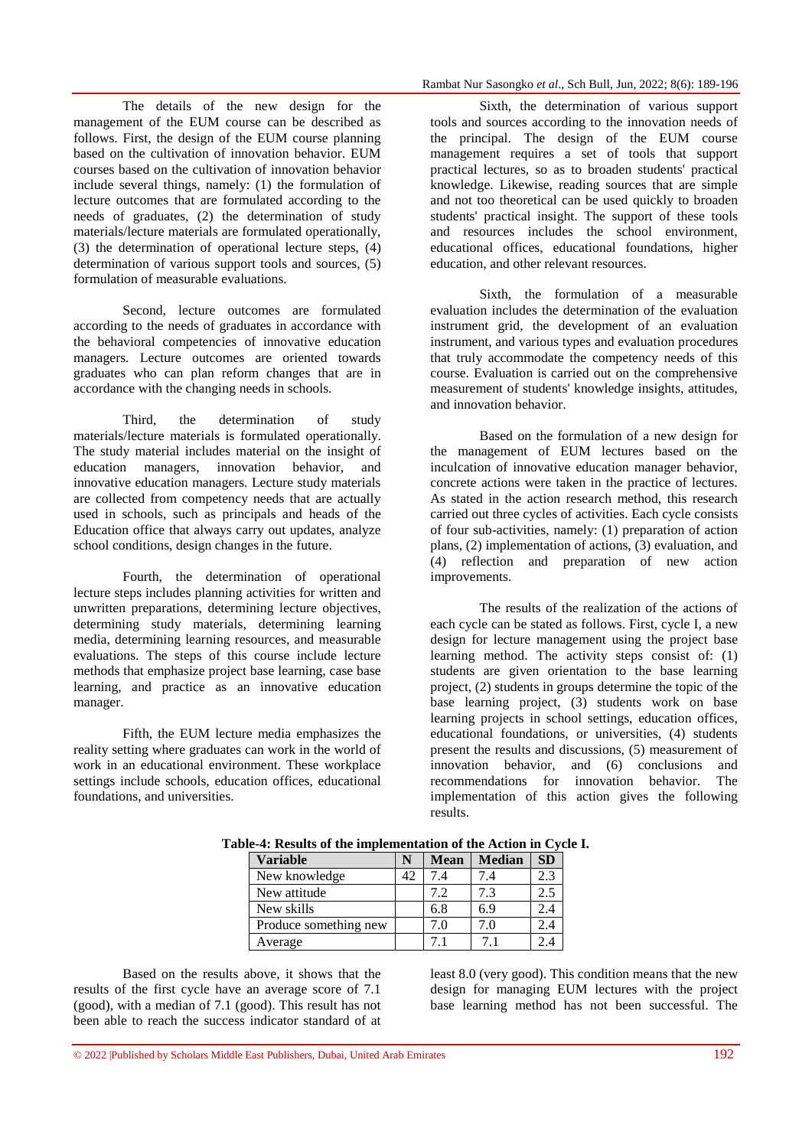The details of the new design for the management of the EUM course can be described as follows. First, the design of the EUM course planning based on the cultivation of innovation behavior. EUM courses based on the cultivation of innovation behavior include several things, namely: (1) the formulation of lecture outcomes that are formulated according to the needs of graduates, (2) the determination of study materials/lecture materials are formulated operationally, (3) the determination of operational lecture steps, (4) determination of various support tools and sources, (5) formulation of measurable evaluations.

Second, lecture outcomes are formulated according to the needs of graduates in accordance with the behavioral competencies of innovative education managers. Lecture outcomes are oriented towards graduates who can plan reform changes that are in accordance with the changing needs in schools.

Third, the determination of study materials/lecture materials is formulated operationally. The study material includes material on the insight of education managers, innovation behavior, and innovative education managers. Lecture study materials are collected from competency needs that are actually used in schools, such as principals and heads of the Education office that always carry out updates, analyze school conditions, design changes in the future.

Fourth, the determination of operational lecture steps includes planning activities for written and unwritten preparations, determining lecture objectives, determining study materials, determining learning media, determining learning resources, and measurable evaluations. The steps of this course include lecture methods that emphasize project base learning, case base learning, and practice as an innovative education manager.

Fifth, the EUM lecture media emphasizes the reality setting where graduates can work in the world of work in an educational environment. These workplace settings include schools, education offices, educational foundations, and universities.

Sixth, the determination of various support tools and sources according to the innovation needs of the principal. The design of the EUM course management requires a set of tools that support practical lectures, so as to broaden students' practical knowledge. Likewise, reading sources that are simple and not too theoretical can be used quickly to broaden students' practical insight. The support of these tools and resources includes the school environment, educational offices, educational foundations, higher education, and other relevant resources.

Sixth, the formulation of a measurable evaluation includes the determination of the evaluation instrument grid, the development of an evaluation instrument, and various types and evaluation procedures that truly accommodate the competency needs of this course. Evaluation is carried out on the comprehensive measurement of students' knowledge insights, attitudes, and innovation behavior.

Based on the formulation of a new design for the management of EUM lectures based on the inculcation of innovative education manager behavior, concrete actions were taken in the practice of lectures. As stated in the action research method, this research carried out three cycles of activities. Each cycle consists of four sub-activities, namely: (1) preparation of action plans, (2) implementation of actions, (3) evaluation, and (4) reflection and preparation of new action improvements.

The results of the realization of the actions of each cycle can be stated as follows. First, cycle I, a new design for lecture management using the project base learning method. The activity steps consist of: (1) students are given orientation to the base learning project, (2) students in groups determine the topic of the base learning project, (3) students work on base learning projects in school settings, education offices, educational foundations, or universities, (4) students present the results and discussions, (5) measurement of innovation behavior, and (6) conclusions and recommendations for innovation behavior. The implementation of this action gives the following results.

|                       | e-4: Results of the implementation of the Action in Cyc |             |                |           |  |  |
|-----------------------|---------------------------------------------------------|-------------|----------------|-----------|--|--|
| <b>Variable</b>       | N                                                       | <b>Mean</b> | <b>Median</b>  | <b>SD</b> |  |  |
| New knowledge         | 42                                                      | 7.4         | 7.4            | 2.3       |  |  |
| New attitude          |                                                         | 7.2         | 7.3            | 2.5       |  |  |
| New skills            |                                                         | 6.8         | 6.9            | 2.4       |  |  |
| Produce something new |                                                         | 7.0         | 7.0            | 2.4       |  |  |
| Average               |                                                         | 71          | 7 <sub>1</sub> | 2.4       |  |  |

**Table-4: Results of the implementation of the Action in Cycle I.**

Based on the results above, it shows that the results of the first cycle have an average score of 7.1 (good), with a median of 7.1 (good). This result has not been able to reach the success indicator standard of at

least 8.0 (very good). This condition means that the new design for managing EUM lectures with the project base learning method has not been successful. The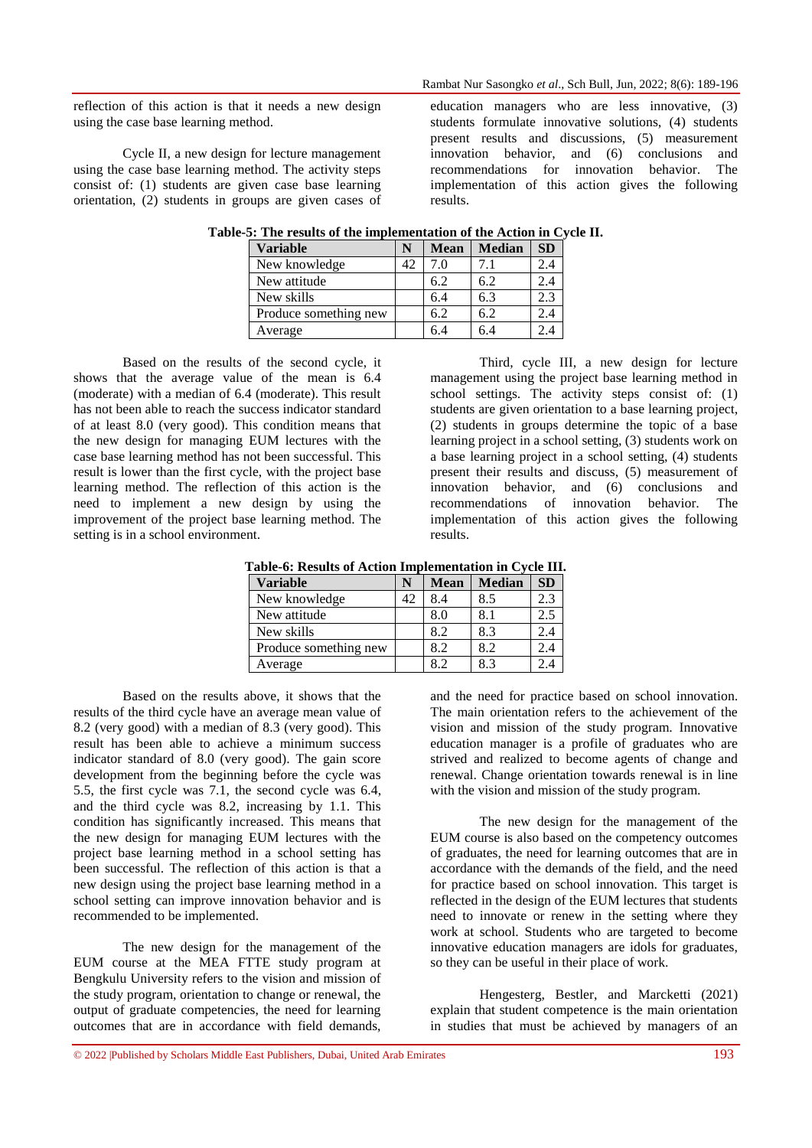reflection of this action is that it needs a new design using the case base learning method.

Cycle II, a new design for lecture management using the case base learning method. The activity steps consist of: (1) students are given case base learning orientation, (2) students in groups are given cases of education managers who are less innovative, (3) students formulate innovative solutions, (4) students present results and discussions, (5) measurement innovation behavior, and (6) conclusions and recommendations for innovation behavior. The implementation of this action gives the following results.

| <b>Variable</b>       | N  | <b>Mean</b> | <b>Median</b> | <b>SD</b> |
|-----------------------|----|-------------|---------------|-----------|
| New knowledge         | 42 | 7.0         |               | 2.4       |
| New attitude          |    | 6.2         | 6.2           | 2.4       |
| New skills            |    | 6.4         | 6.3           | 2.3       |
| Produce something new |    | 6.2         | 6.2           | 2.4       |
| Average               |    | 6.4         | 6.4           | 2.4       |

**Table-5: The results of the implementation of the Action in Cycle II.**

Based on the results of the second cycle, it shows that the average value of the mean is 6.4 (moderate) with a median of 6.4 (moderate). This result has not been able to reach the success indicator standard of at least 8.0 (very good). This condition means that the new design for managing EUM lectures with the case base learning method has not been successful. This result is lower than the first cycle, with the project base learning method. The reflection of this action is the need to implement a new design by using the improvement of the project base learning method. The setting is in a school environment.

Third, cycle III, a new design for lecture management using the project base learning method in school settings. The activity steps consist of: (1) students are given orientation to a base learning project, (2) students in groups determine the topic of a base learning project in a school setting, (3) students work on a base learning project in a school setting, (4) students present their results and discuss, (5) measurement of innovation behavior, and (6) conclusions and recommendations of innovation behavior. The implementation of this action gives the following results.

**Table-6: Results of Action Implementation in Cycle III.**

| <b>Variable</b>       | N  | <b>Mean</b> | <b>Median</b> | <b>SD</b> |
|-----------------------|----|-------------|---------------|-----------|
| New knowledge         | 42 | 8.4         | 8.5           | 2.3       |
| New attitude          |    | 8.0         | 8.1           | 2.5       |
| New skills            |    | 8.2         | 8.3           | 2.4       |
| Produce something new |    | 8.2         | 8.2           | 2.4       |
| Average               |    | 8.2         | 8.3           | 2.4       |

Based on the results above, it shows that the results of the third cycle have an average mean value of 8.2 (very good) with a median of 8.3 (very good). This result has been able to achieve a minimum success indicator standard of 8.0 (very good). The gain score development from the beginning before the cycle was 5.5, the first cycle was 7.1, the second cycle was 6.4, and the third cycle was 8.2, increasing by 1.1. This condition has significantly increased. This means that the new design for managing EUM lectures with the project base learning method in a school setting has been successful. The reflection of this action is that a new design using the project base learning method in a school setting can improve innovation behavior and is recommended to be implemented.

The new design for the management of the EUM course at the MEA FTTE study program at Bengkulu University refers to the vision and mission of the study program, orientation to change or renewal, the output of graduate competencies, the need for learning outcomes that are in accordance with field demands,

and the need for practice based on school innovation. The main orientation refers to the achievement of the vision and mission of the study program. Innovative education manager is a profile of graduates who are strived and realized to become agents of change and renewal. Change orientation towards renewal is in line with the vision and mission of the study program.

The new design for the management of the EUM course is also based on the competency outcomes of graduates, the need for learning outcomes that are in accordance with the demands of the field, and the need for practice based on school innovation. This target is reflected in the design of the EUM lectures that students need to innovate or renew in the setting where they work at school. Students who are targeted to become innovative education managers are idols for graduates, so they can be useful in their place of work.

Hengesterg, Bestler, and Marcketti (2021) explain that student competence is the main orientation in studies that must be achieved by managers of an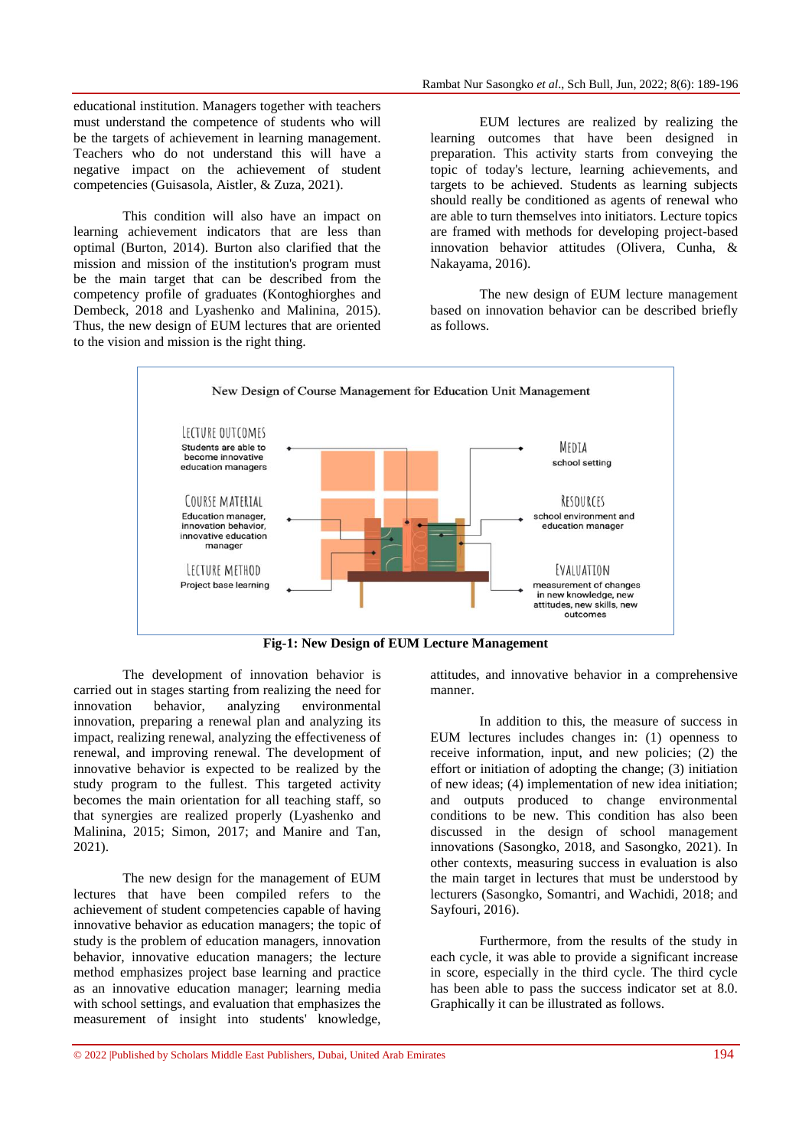educational institution. Managers together with teachers must understand the competence of students who will be the targets of achievement in learning management. Teachers who do not understand this will have a negative impact on the achievement of student competencies (Guisasola, Aistler, & Zuza, 2021).

This condition will also have an impact on learning achievement indicators that are less than optimal (Burton, 2014). Burton also clarified that the mission and mission of the institution's program must be the main target that can be described from the competency profile of graduates (Kontoghiorghes and Dembeck, 2018 and Lyashenko and Malinina, 2015). Thus, the new design of EUM lectures that are oriented to the vision and mission is the right thing.

EUM lectures are realized by realizing the learning outcomes that have been designed in preparation. This activity starts from conveying the topic of today's lecture, learning achievements, and targets to be achieved. Students as learning subjects should really be conditioned as agents of renewal who are able to turn themselves into initiators. Lecture topics are framed with methods for developing project-based innovation behavior attitudes (Olivera, Cunha, & Nakayama, 2016).

The new design of EUM lecture management based on innovation behavior can be described briefly as follows.



**Fig-1: New Design of EUM Lecture Management**

The development of innovation behavior is carried out in stages starting from realizing the need for innovation behavior, analyzing environmental innovation, preparing a renewal plan and analyzing its impact, realizing renewal, analyzing the effectiveness of renewal, and improving renewal. The development of innovative behavior is expected to be realized by the study program to the fullest. This targeted activity becomes the main orientation for all teaching staff, so that synergies are realized properly (Lyashenko and Malinina, 2015; Simon, 2017; and Manire and Tan, 2021).

The new design for the management of EUM lectures that have been compiled refers to the achievement of student competencies capable of having innovative behavior as education managers; the topic of study is the problem of education managers, innovation behavior, innovative education managers; the lecture method emphasizes project base learning and practice as an innovative education manager; learning media with school settings, and evaluation that emphasizes the measurement of insight into students' knowledge,

attitudes, and innovative behavior in a comprehensive manner.

In addition to this, the measure of success in EUM lectures includes changes in: (1) openness to receive information, input, and new policies; (2) the effort or initiation of adopting the change; (3) initiation of new ideas; (4) implementation of new idea initiation; and outputs produced to change environmental conditions to be new. This condition has also been discussed in the design of school management innovations (Sasongko, 2018, and Sasongko, 2021). In other contexts, measuring success in evaluation is also the main target in lectures that must be understood by lecturers (Sasongko, Somantri, and Wachidi, 2018; and Sayfouri, 2016).

Furthermore, from the results of the study in each cycle, it was able to provide a significant increase in score, especially in the third cycle. The third cycle has been able to pass the success indicator set at 8.0. Graphically it can be illustrated as follows.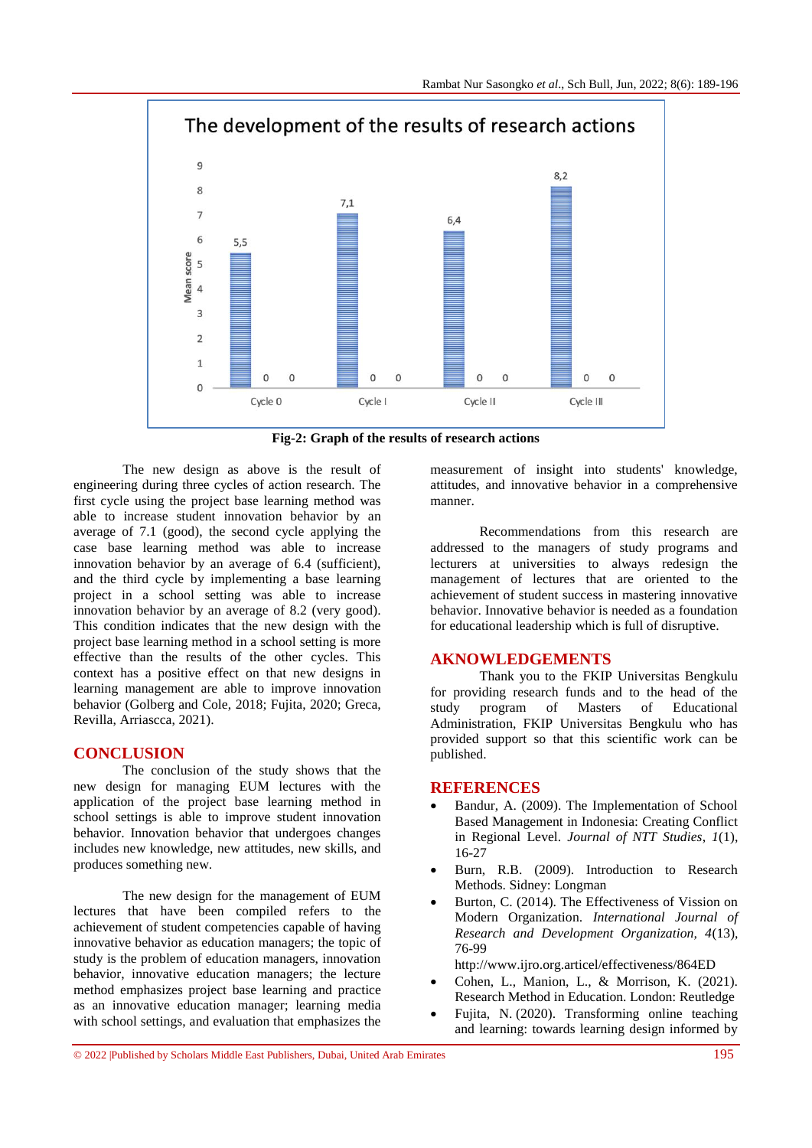

**Fig-2: Graph of the results of research actions**

The new design as above is the result of engineering during three cycles of action research. The first cycle using the project base learning method was able to increase student innovation behavior by an average of 7.1 (good), the second cycle applying the case base learning method was able to increase innovation behavior by an average of 6.4 (sufficient), and the third cycle by implementing a base learning project in a school setting was able to increase innovation behavior by an average of 8.2 (very good). This condition indicates that the new design with the project base learning method in a school setting is more effective than the results of the other cycles. This context has a positive effect on that new designs in learning management are able to improve innovation behavior (Golberg and Cole, 2018; Fujita, 2020; Greca, Revilla, Arriascca, 2021).

## **CONCLUSION**

The conclusion of the study shows that the new design for managing EUM lectures with the application of the project base learning method in school settings is able to improve student innovation behavior. Innovation behavior that undergoes changes includes new knowledge, new attitudes, new skills, and produces something new.

The new design for the management of EUM lectures that have been compiled refers to the achievement of student competencies capable of having innovative behavior as education managers; the topic of study is the problem of education managers, innovation behavior, innovative education managers; the lecture method emphasizes project base learning and practice as an innovative education manager; learning media with school settings, and evaluation that emphasizes the

measurement of insight into students' knowledge, attitudes, and innovative behavior in a comprehensive manner.

Recommendations from this research are addressed to the managers of study programs and lecturers at universities to always redesign the management of lectures that are oriented to the achievement of student success in mastering innovative behavior. Innovative behavior is needed as a foundation for educational leadership which is full of disruptive.

#### **AKNOWLEDGEMENTS**

Thank you to the FKIP Universitas Bengkulu for providing research funds and to the head of the study program of Masters of Educational Administration, FKIP Universitas Bengkulu who has provided support so that this scientific work can be published.

#### **REFERENCES**

- Bandur, A. (2009). The Implementation of School Based Management in Indonesia: Creating Conflict in Regional Level. *Journal of NTT Studies*, *1*(1), 16-27
- Burn, R.B. (2009). Introduction to Research Methods. Sidney: Longman
- Burton, C. (2014). The Effectiveness of Vission on Modern Organization. *International Journal of Research and Development Organization, 4*(13), 76-99

<http://www.ijro.org.articel/effectiveness/864ED>

- Cohen, L., Manion, L., & Morrison, K. (2021). Research Method in Education. London: Reutledge
- [Fujita, N.](https://www.emerald.com/insight/search?q=Nobuko%20Fujita) (2020). Transforming online teaching and learning: towards learning design informed by